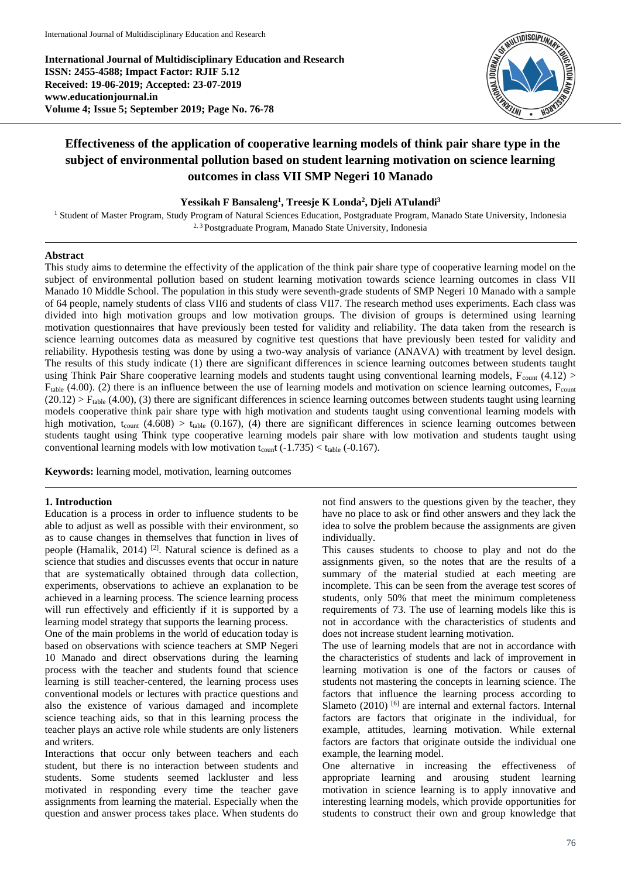**International Journal of Multidisciplinary Education and Research ISSN: 2455-4588; Impact Factor: RJIF 5.12 Received: 19-06-2019; Accepted: 23-07-2019 www.educationjournal.in Volume 4; Issue 5; September 2019; Page No. 76-78**



# **Effectiveness of the application of cooperative learning models of think pair share type in the subject of environmental pollution based on student learning motivation on science learning outcomes in class VII SMP Negeri 10 Manado**

## **Yessikah F Bansaleng<sup>1</sup> , Treesje K Londa<sup>2</sup> , Djeli ATulandi 3**

<sup>1</sup> Student of Master Program, Study Program of Natural Sciences Education, Postgraduate Program, Manado State University, Indonesia 2, 3 Postgraduate Program, Manado State University, Indonesia

# **Abstract**

This study aims to determine the effectivity of the application of the think pair share type of cooperative learning model on the subject of environmental pollution based on student learning motivation towards science learning outcomes in class VII Manado 10 Middle School. The population in this study were seventh-grade students of SMP Negeri 10 Manado with a sample of 64 people, namely students of class VII6 and students of class VII7. The research method uses experiments. Each class was divided into high motivation groups and low motivation groups. The division of groups is determined using learning motivation questionnaires that have previously been tested for validity and reliability. The data taken from the research is science learning outcomes data as measured by cognitive test questions that have previously been tested for validity and reliability. Hypothesis testing was done by using a two-way analysis of variance (ANAVA) with treatment by level design. The results of this study indicate (1) there are significant differences in science learning outcomes between students taught using Think Pair Share cooperative learning models and students taught using conventional learning models,  $F_{\text{count}}(4.12)$  $F_{table}$  (4.00). (2) there is an influence between the use of learning models and motivation on science learning outcomes,  $F_{count}$  $(20.12)$  > F<sub>table</sub> (4.00), (3) there are significant differences in science learning outcomes between students taught using learning models cooperative think pair share type with high motivation and students taught using conventional learning models with high motivation, t<sub>count</sub> (4.608) > t<sub>table</sub> (0.167), (4) there are significant differences in science learning outcomes between students taught using Think type cooperative learning models pair share with low motivation and students taught using conventional learning models with low motivation  $t_{\text{count}}$  (-1.735) <  $t_{\text{table}}$  (-0.167).

**Keywords:** learning model, motivation, learning outcomes

## **1. Introduction**

Education is a process in order to influence students to be able to adjust as well as possible with their environment, so as to cause changes in themselves that function in lives of people (Hamalik, 2014) <sup>[2]</sup>. Natural science is defined as a science that studies and discusses events that occur in nature that are systematically obtained through data collection, experiments, observations to achieve an explanation to be achieved in a learning process. The science learning process will run effectively and efficiently if it is supported by a learning model strategy that supports the learning process.

One of the main problems in the world of education today is based on observations with science teachers at SMP Negeri 10 Manado and direct observations during the learning process with the teacher and students found that science learning is still teacher-centered, the learning process uses conventional models or lectures with practice questions and also the existence of various damaged and incomplete science teaching aids, so that in this learning process the teacher plays an active role while students are only listeners and writers.

Interactions that occur only between teachers and each student, but there is no interaction between students and students. Some students seemed lackluster and less motivated in responding every time the teacher gave assignments from learning the material. Especially when the question and answer process takes place. When students do

not find answers to the questions given by the teacher, they have no place to ask or find other answers and they lack the idea to solve the problem because the assignments are given individually.

This causes students to choose to play and not do the assignments given, so the notes that are the results of a summary of the material studied at each meeting are incomplete. This can be seen from the average test scores of students, only 50% that meet the minimum completeness requirements of 73. The use of learning models like this is not in accordance with the characteristics of students and does not increase student learning motivation.

The use of learning models that are not in accordance with the characteristics of students and lack of improvement in learning motivation is one of the factors or causes of students not mastering the concepts in learning science. The factors that influence the learning process according to Slameto  $(2010)$  [6] are internal and external factors. Internal factors are factors that originate in the individual, for example, attitudes, learning motivation. While external factors are factors that originate outside the individual one example, the learning model.

One alternative in increasing the effectiveness of appropriate learning and arousing student learning motivation in science learning is to apply innovative and interesting learning models, which provide opportunities for students to construct their own and group knowledge that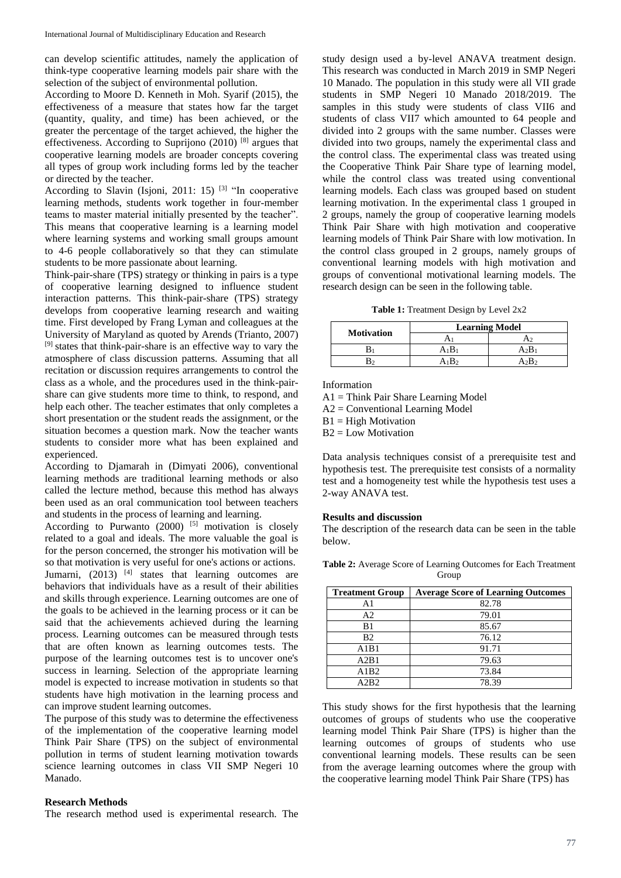can develop scientific attitudes, namely the application of think-type cooperative learning models pair share with the selection of the subject of environmental pollution.

According to Moore D. Kenneth in Moh. Syarif (2015), the effectiveness of a measure that states how far the target (quantity, quality, and time) has been achieved, or the greater the percentage of the target achieved, the higher the effectiveness. According to Suprijono  $(2010)$ <sup>[8]</sup> argues that cooperative learning models are broader concepts covering all types of group work including forms led by the teacher or directed by the teacher.

According to Slavin (Isjoni, 2011: 15) <sup>[3]</sup> "In cooperative learning methods, students work together in four-member teams to master material initially presented by the teacher". This means that cooperative learning is a learning model where learning systems and working small groups amount to 4-6 people collaboratively so that they can stimulate students to be more passionate about learning.

Think-pair-share (TPS) strategy or thinking in pairs is a type of cooperative learning designed to influence student interaction patterns. This think-pair-share (TPS) strategy develops from cooperative learning research and waiting time. First developed by Frang Lyman and colleagues at the University of Maryland as quoted by Arends (Trianto, 2007) [9] states that think-pair-share is an effective way to vary the atmosphere of class discussion patterns. Assuming that all recitation or discussion requires arrangements to control the class as a whole, and the procedures used in the think-pairshare can give students more time to think, to respond, and help each other. The teacher estimates that only completes a short presentation or the student reads the assignment, or the situation becomes a question mark. Now the teacher wants students to consider more what has been explained and experienced.

According to Djamarah in (Dimyati 2006), conventional learning methods are traditional learning methods or also called the lecture method, because this method has always been used as an oral communication tool between teachers and students in the process of learning and learning.

According to Purwanto (2000) <sup>[5]</sup> motivation is closely related to a goal and ideals. The more valuable the goal is for the person concerned, the stronger his motivation will be so that motivation is very useful for one's actions or actions. Jumarni,  $(2013)$  <sup>[4]</sup> states that learning outcomes are behaviors that individuals have as a result of their abilities and skills through experience. Learning outcomes are one of the goals to be achieved in the learning process or it can be said that the achievements achieved during the learning process. Learning outcomes can be measured through tests that are often known as learning outcomes tests. The purpose of the learning outcomes test is to uncover one's success in learning. Selection of the appropriate learning model is expected to increase motivation in students so that students have high motivation in the learning process and can improve student learning outcomes.

The purpose of this study was to determine the effectiveness of the implementation of the cooperative learning model Think Pair Share (TPS) on the subject of environmental pollution in terms of student learning motivation towards science learning outcomes in class VII SMP Negeri 10 Manado.

# **Research Methods**

The research method used is experimental research. The

study design used a by-level ANAVA treatment design. This research was conducted in March 2019 in SMP Negeri 10 Manado. The population in this study were all VII grade students in SMP Negeri 10 Manado 2018/2019. The samples in this study were students of class VII6 and students of class VII7 which amounted to 64 people and divided into 2 groups with the same number. Classes were divided into two groups, namely the experimental class and the control class. The experimental class was treated using the Cooperative Think Pair Share type of learning model, while the control class was treated using conventional learning models. Each class was grouped based on student learning motivation. In the experimental class 1 grouped in 2 groups, namely the group of cooperative learning models Think Pair Share with high motivation and cooperative learning models of Think Pair Share with low motivation. In the control class grouped in 2 groups, namely groups of conventional learning models with high motivation and groups of conventional motivational learning models. The research design can be seen in the following table.

**Table 1:** Treatment Design by Level 2x2

| <b>Motivation</b> | <b>Learning Model</b> |          |
|-------------------|-----------------------|----------|
|                   |                       |          |
|                   | $\rm A_1B_1$          | $A_2B_1$ |
|                   |                       | A2B2     |

Information

A1 = Think Pair Share Learning Model

A2 = Conventional Learning Model

 $B1 = High Motivation$ 

 $B2 = Low Motivation$ 

Data analysis techniques consist of a prerequisite test and hypothesis test. The prerequisite test consists of a normality test and a homogeneity test while the hypothesis test uses a 2-way ANAVA test.

#### **Results and discussion**

The description of the research data can be seen in the table below.

| <b>Table 2:</b> Average Score of Learning Outcomes for Each Treatment |  |
|-----------------------------------------------------------------------|--|
| Group                                                                 |  |

| <b>Treatment Group</b> | <b>Average Score of Learning Outcomes</b> |
|------------------------|-------------------------------------------|
| A1                     | 82.78                                     |
| A2                     | 79.01                                     |
| B1                     | 85.67                                     |
| B <sub>2</sub>         | 76.12                                     |
| A1B1                   | 91.71                                     |
| A2B1                   | 79.63                                     |
| A1B2                   | 73.84                                     |
| A2B2                   | 78.39                                     |

This study shows for the first hypothesis that the learning outcomes of groups of students who use the cooperative learning model Think Pair Share (TPS) is higher than the learning outcomes of groups of students who use conventional learning models. These results can be seen from the average learning outcomes where the group with the cooperative learning model Think Pair Share (TPS) has